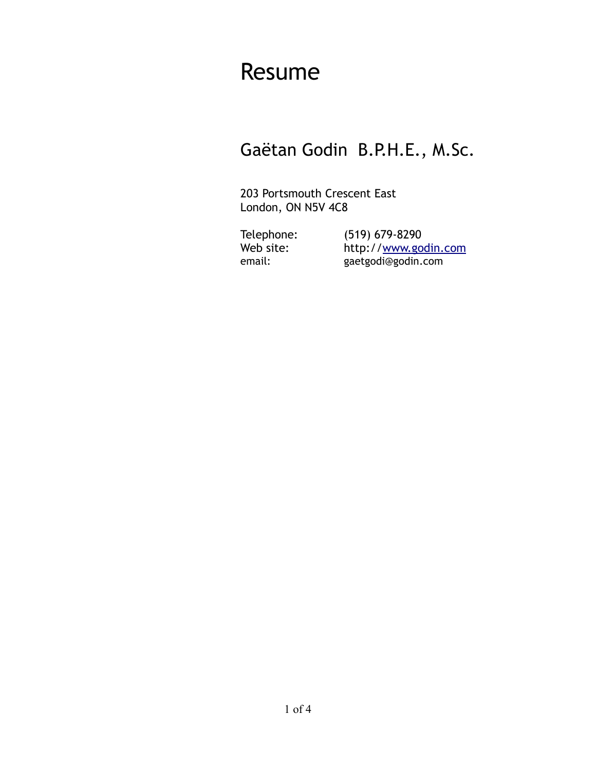# Resume

# Gaëtan Godin B.P.H.E., M.Sc.

203 Portsmouth Crescent East London, ON N5V 4C8

Telephone: (519) 679-8290 Web site: http://www.godin.com email: gaetgodi@godin.com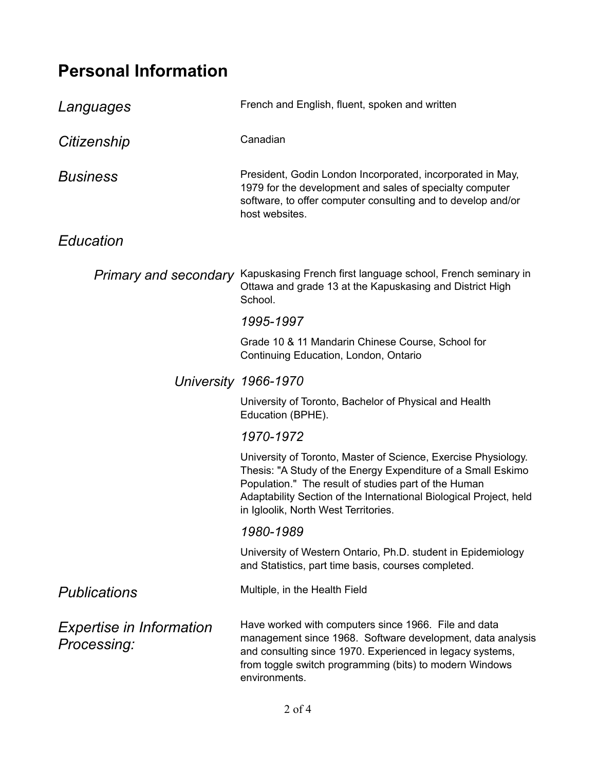# **Personal Information**

| Languages                                      | French and English, fluent, spoken and written                                                                                                                                                                                                                                                       |
|------------------------------------------------|------------------------------------------------------------------------------------------------------------------------------------------------------------------------------------------------------------------------------------------------------------------------------------------------------|
| Citizenship                                    | Canadian                                                                                                                                                                                                                                                                                             |
| <b>Business</b>                                | President, Godin London Incorporated, incorporated in May,<br>1979 for the development and sales of specialty computer<br>software, to offer computer consulting and to develop and/or<br>host websites.                                                                                             |
| Education                                      |                                                                                                                                                                                                                                                                                                      |
| <b>Primary and secondary</b>                   | Kapuskasing French first language school, French seminary in<br>Ottawa and grade 13 at the Kapuskasing and District High<br>School.                                                                                                                                                                  |
|                                                | 1995-1997                                                                                                                                                                                                                                                                                            |
|                                                | Grade 10 & 11 Mandarin Chinese Course, School for<br>Continuing Education, London, Ontario                                                                                                                                                                                                           |
|                                                | University 1966-1970                                                                                                                                                                                                                                                                                 |
|                                                | University of Toronto, Bachelor of Physical and Health<br>Education (BPHE).                                                                                                                                                                                                                          |
|                                                | 1970-1972                                                                                                                                                                                                                                                                                            |
|                                                | University of Toronto, Master of Science, Exercise Physiology.<br>Thesis: "A Study of the Energy Expenditure of a Small Eskimo<br>Population." The result of studies part of the Human<br>Adaptability Section of the International Biological Project, held<br>in Igloolik, North West Territories. |
|                                                | 1980-1989                                                                                                                                                                                                                                                                                            |
|                                                | University of Western Ontario, Ph.D. student in Epidemiology<br>and Statistics, part time basis, courses completed.                                                                                                                                                                                  |
| Publications                                   | Multiple, in the Health Field                                                                                                                                                                                                                                                                        |
| <i>Expertise in Information</i><br>Processing: | Have worked with computers since 1966. File and data<br>management since 1968. Software development, data analysis<br>and consulting since 1970. Experienced in legacy systems,<br>from toggle switch programming (bits) to modern Windows<br>environments.                                          |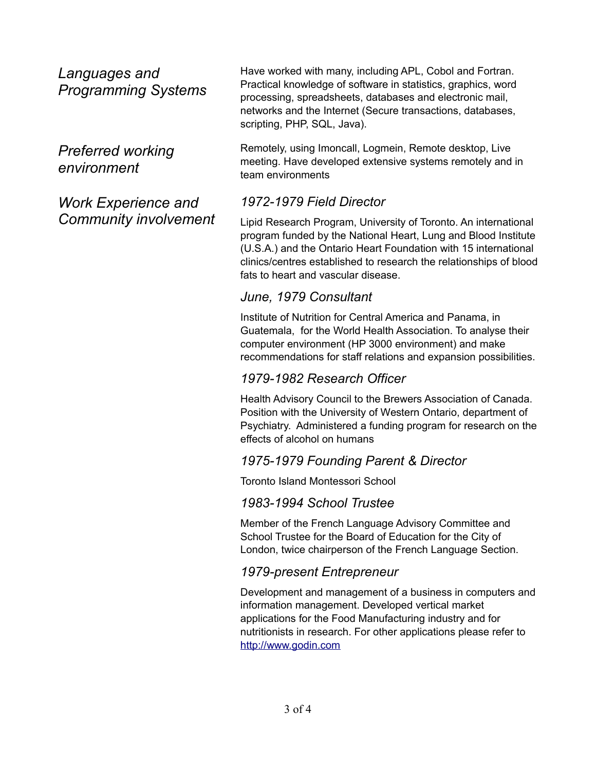*Languages and Programming Systems*

*Preferred working environment*

*Work Experience and Community involvement* Have worked with many, including APL, Cobol and Fortran. Practical knowledge of software in statistics, graphics, word processing, spreadsheets, databases and electronic mail, networks and the Internet (Secure transactions, databases, scripting, PHP, SQL, Java).

Remotely, using Imoncall, Logmein, Remote desktop, Live meeting. Have developed extensive systems remotely and in team environments

## *1972-1979 Field Director*

Lipid Research Program, University of Toronto. An international program funded by the National Heart, Lung and Blood Institute (U.S.A.) and the Ontario Heart Foundation with 15 international clinics/centres established to research the relationships of blood fats to heart and vascular disease.

### *June, 1979 Consultant*

Institute of Nutrition for Central America and Panama, in Guatemala, for the World Health Association. To analyse their computer environment (HP 3000 environment) and make recommendations for staff relations and expansion possibilities.

#### *1979-1982 Research Officer*

Health Advisory Council to the Brewers Association of Canada. Position with the University of Western Ontario, department of Psychiatry. Administered a funding program for research on the effects of alcohol on humans

#### *1975-1979 Founding Parent & Director*

Toronto Island Montessori School

#### *1983-1994 School Trustee*

Member of the French Language Advisory Committee and School Trustee for the Board of Education for the City of London, twice chairperson of the French Language Section.

#### *1979-present Entrepreneur*

Development and management of a business in computers and information management. Developed vertical market applications for the Food Manufacturing industry and for nutritionists in research. For other applications please refer to [http://www.godin.com](http://www.godin.com/)